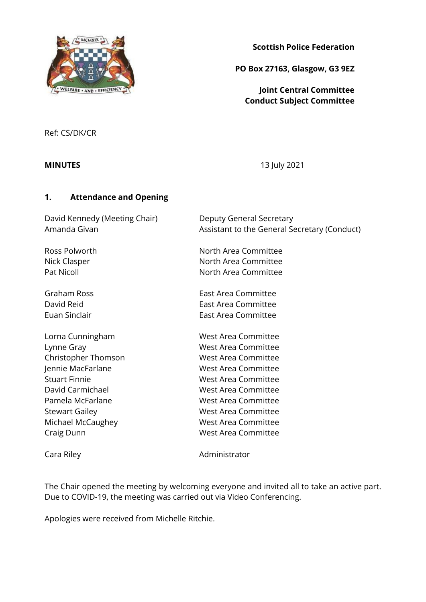

**Scottish Police Federation**

**PO Box 27163, Glasgow, G3 9EZ**

**Joint Central Committee Conduct Subject Committee**

Ref: CS/DK/CR

**MINUTES** 13 July 2021

## **1. Attendance and Opening**

David Kennedy (Meeting Chair) Deputy General Secretary

Amanda Givan **Assistant to the General Secretary (Conduct)** 

Ross Polworth **North Area Committee** Nick Clasper North Area Committee Pat Nicoll **North Area Committee** 

Graham Ross East Area Committee David Reid **East Area Committee** Euan Sinclair East Area Committee

Lorna Cunningham West Area Committee Lynne Gray Nest Area Committee Christopher Thomson West Area Committee Jennie MacFarlane West Area Committee Stuart Finnie West Area Committee David Carmichael **West Area Committee** Pamela McFarlane West Area Committee Stewart Gailey **Manufather Committee** West Area Committee Michael McCaughey West Area Committee Craig Dunn West Area Committee

Cara Riley **Administrator Administrator** 

The Chair opened the meeting by welcoming everyone and invited all to take an active part. Due to COVID-19, the meeting was carried out via Video Conferencing.

Apologies were received from Michelle Ritchie.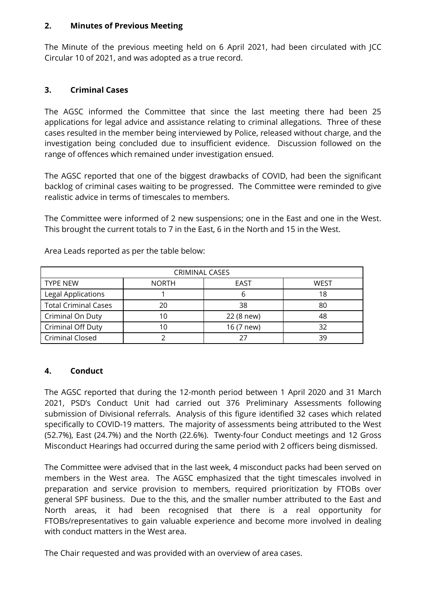#### **2. Minutes of Previous Meeting**

The Minute of the previous meeting held on 6 April 2021, had been circulated with JCC Circular 10 of 2021, and was adopted as a true record.

## **3. Criminal Cases**

The AGSC informed the Committee that since the last meeting there had been 25 applications for legal advice and assistance relating to criminal allegations. Three of these cases resulted in the member being interviewed by Police, released without charge, and the investigation being concluded due to insufficient evidence. Discussion followed on the range of offences which remained under investigation ensued.

The AGSC reported that one of the biggest drawbacks of COVID, had been the significant backlog of criminal cases waiting to be progressed. The Committee were reminded to give realistic advice in terms of timescales to members.

The Committee were informed of 2 new suspensions; one in the East and one in the West. This brought the current totals to 7 in the East, 6 in the North and 15 in the West.

| <b>CRIMINAL CASES</b>       |              |            |      |  |  |
|-----------------------------|--------------|------------|------|--|--|
| <b>TYPE NEW</b>             | <b>NORTH</b> | EAST       | WEST |  |  |
| Legal Applications          |              | n          | 18   |  |  |
| <b>Total Criminal Cases</b> | 20           | 38         | 80   |  |  |
| Criminal On Duty            | 10           | 22 (8 new) | 48   |  |  |
| Criminal Off Duty           | 10           | 16 (7 new) | 32   |  |  |
| <b>Criminal Closed</b>      |              |            | 39   |  |  |

Area Leads reported as per the table below:

## **4. Conduct**

The AGSC reported that during the 12-month period between 1 April 2020 and 31 March 2021, PSD's Conduct Unit had carried out 376 Preliminary Assessments following submission of Divisional referrals. Analysis of this figure identified 32 cases which related specifically to COVID-19 matters. The majority of assessments being attributed to the West (52.7%), East (24.7%) and the North (22.6%). Twenty-four Conduct meetings and 12 Gross Misconduct Hearings had occurred during the same period with 2 officers being dismissed.

The Committee were advised that in the last week, 4 misconduct packs had been served on members in the West area. The AGSC emphasized that the tight timescales involved in preparation and service provision to members, required prioritization by FTOBs over general SPF business. Due to the this, and the smaller number attributed to the East and North areas, it had been recognised that there is a real opportunity for FTOBs/representatives to gain valuable experience and become more involved in dealing with conduct matters in the West area.

The Chair requested and was provided with an overview of area cases.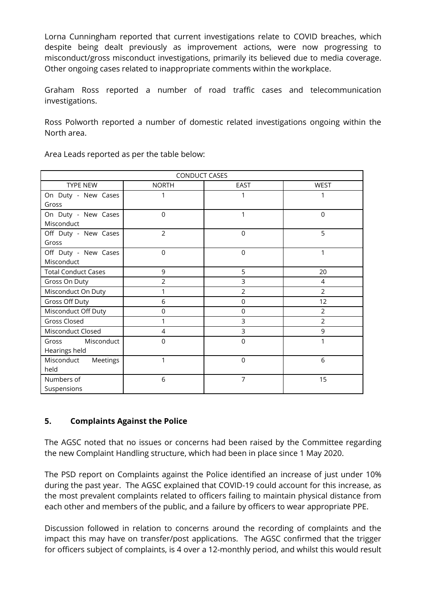Lorna Cunningham reported that current investigations relate to COVID breaches, which despite being dealt previously as improvement actions, were now progressing to misconduct/gross misconduct investigations, primarily its believed due to media coverage. Other ongoing cases related to inappropriate comments within the workplace.

Graham Ross reported a number of road traffic cases and telecommunication investigations.

Ross Polworth reported a number of domestic related investigations ongoing within the North area.

| <b>CONDUCT CASES</b>       |                |                |                |  |
|----------------------------|----------------|----------------|----------------|--|
| TYPE NEW                   | <b>NORTH</b>   | EAST           | <b>WEST</b>    |  |
| On Duty - New Cases        | 1              | 1              |                |  |
| Gross                      |                |                |                |  |
| On Duty - New Cases        | $\mathbf 0$    | 1              | $\mathbf 0$    |  |
| Misconduct                 |                |                |                |  |
| Off Duty - New Cases       | $\overline{2}$ | $\Omega$       | 5              |  |
| Gross                      |                |                |                |  |
| Off Duty - New Cases       | $\mathbf 0$    | 0              | 1              |  |
| Misconduct                 |                |                |                |  |
| <b>Total Conduct Cases</b> | 9              | 5              | 20             |  |
| Gross On Duty              | $\overline{2}$ | 3              | 4              |  |
| Misconduct On Duty         | 1              | $\overline{2}$ | $\overline{2}$ |  |
| Gross Off Duty             | 6              | $\mathbf 0$    | 12             |  |
| Misconduct Off Duty        | $\mathbf 0$    | $\mathbf 0$    | $\overline{2}$ |  |
| Gross Closed               | 1              | 3              | 2              |  |
| Misconduct Closed          | $\overline{4}$ | 3              | 9              |  |
| Misconduct<br>Gross        | $\mathbf 0$    | $\Omega$       | 1              |  |
| Hearings held              |                |                |                |  |
| Misconduct Meetings        | 1              | $\Omega$       | 6              |  |
| held                       |                |                |                |  |
| Numbers of                 | 6              | 7              | 15             |  |
| Suspensions                |                |                |                |  |

Area Leads reported as per the table below:

## **5. Complaints Against the Police**

The AGSC noted that no issues or concerns had been raised by the Committee regarding the new Complaint Handling structure, which had been in place since 1 May 2020.

The PSD report on Complaints against the Police identified an increase of just under 10% during the past year. The AGSC explained that COVID-19 could account for this increase, as the most prevalent complaints related to officers failing to maintain physical distance from each other and members of the public, and a failure by officers to wear appropriate PPE.

Discussion followed in relation to concerns around the recording of complaints and the impact this may have on transfer/post applications. The AGSC confirmed that the trigger for officers subject of complaints, is 4 over a 12-monthly period, and whilst this would result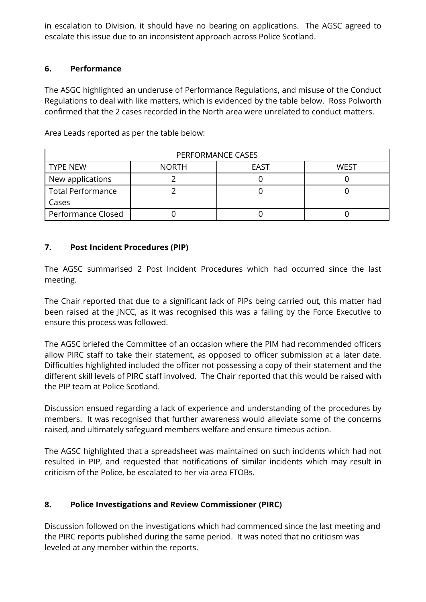in escalation to Division, it should have no bearing on applications. The AGSC agreed to escalate this issue due to an inconsistent approach across Police Scotland.

## **6. Performance**

The ASGC highlighted an underuse of Performance Regulations, and misuse of the Conduct Regulations to deal with like matters, which is evidenced by the table below. Ross Polworth confirmed that the 2 cases recorded in the North area were unrelated to conduct matters.

| PERFORMANCE CASES        |              |      |      |  |  |
|--------------------------|--------------|------|------|--|--|
| <b>TYPE NEW</b>          | <b>NORTH</b> | EAST | WFST |  |  |
| New applications         |              |      |      |  |  |
| <b>Total Performance</b> |              |      |      |  |  |
| Cases                    |              |      |      |  |  |
| Performance Closed       |              |      |      |  |  |

Area Leads reported as per the table below:

## **7. Post Incident Procedures (PIP)**

The AGSC summarised 2 Post Incident Procedures which had occurred since the last meeting.

The Chair reported that due to a significant lack of PIPs being carried out, this matter had been raised at the JNCC, as it was recognised this was a failing by the Force Executive to ensure this process was followed.

The AGSC briefed the Committee of an occasion where the PIM had recommended officers allow PIRC staff to take their statement, as opposed to officer submission at a later date. Difficulties highlighted included the officer not possessing a copy of their statement and the different skill levels of PIRC staff involved. The Chair reported that this would be raised with the PIP team at Police Scotland.

Discussion ensued regarding a lack of experience and understanding of the procedures by members. It was recognised that further awareness would alleviate some of the concerns raised, and ultimately safeguard members welfare and ensure timeous action.

The AGSC highlighted that a spreadsheet was maintained on such incidents which had not resulted in PIP, and requested that notifications of similar incidents which may result in criticism of the Police, be escalated to her via area FTOBs.

# **8. Police Investigations and Review Commissioner (PIRC)**

Discussion followed on the investigations which had commenced since the last meeting and the PIRC reports published during the same period. It was noted that no criticism was leveled at any member within the reports.